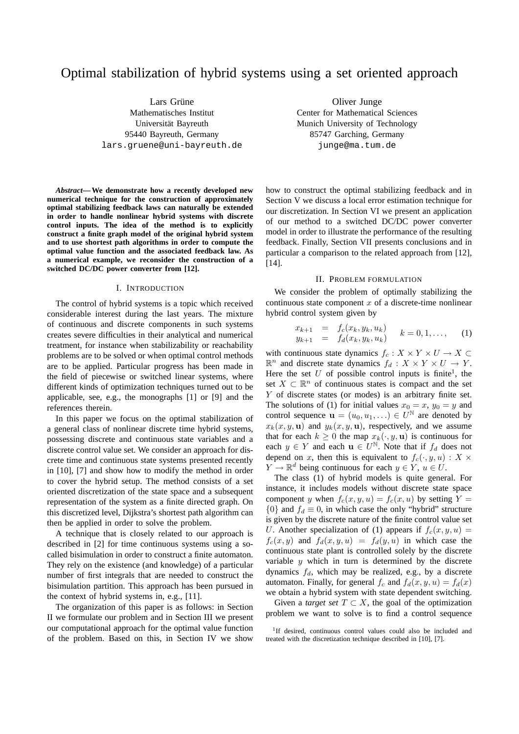# Optimal stabilization of hybrid systems using a set oriented approach

Lars Grüne Mathematisches Institut Universität Bayreuth 95440 Bayreuth, Germany lars.gruene@uni-bayreuth.de

*Abstract***— We demonstrate how a recently developed new numerical technique for the construction of approximately optimal stabilizing feedback laws can naturally be extended in order to handle nonlinear hybrid systems with discrete control inputs. The idea of the method is to explicitly construct a finite graph model of the original hybrid system and to use shortest path algorithms in order to compute the optimal value function and the associated feedback law. As a numerical example, we reconsider the construction of a switched DC/DC power converter from [12].**

#### I. INTRODUCTION

The control of hybrid systems is a topic which received considerable interest during the last years. The mixture of continuous and discrete components in such systems creates severe difficulties in their analytical and numerical treatment, for instance when stabilizability or reachability problems are to be solved or when optimal control methods are to be applied. Particular progress has been made in the field of piecewise or switched linear systems, where different kinds of optimization techniques turned out to be applicable, see, e.g., the monographs [1] or [9] and the references therein.

In this paper we focus on the optimal stabilization of a general class of nonlinear discrete time hybrid systems, possessing discrete and continuous state variables and a discrete control value set. We consider an approach for discrete time and continuous state systems presented recently in [10], [7] and show how to modify the method in order to cover the hybrid setup. The method consists of a set oriented discretization of the state space and a subsequent representation of the system as a finite directed graph. On this discretized level, Dijkstra's shortest path algorithm can then be applied in order to solve the problem.

A technique that is closely related to our approach is described in [2] for time continuous systems using a socalled bisimulation in order to construct a finite automaton. They rely on the existence (and knowledge) of a particular number of first integrals that are needed to construct the bisimulation partition. This approach has been pursued in the context of hybrid systems in, e.g., [11].

The organization of this paper is as follows: in Section II we formulate our problem and in Section III we present our computational approach for the optimal value function of the problem. Based on this, in Section IV we show

Oliver Junge Center for Mathematical Sciences Munich University of Technology 85747 Garching, Germany junge@ma.tum.de

how to construct the optimal stabilizing feedback and in Section V we discuss a local error estimation technique for our discretization. In Section VI we present an application of our method to a switched DC/DC power converter model in order to illustrate the performance of the resulting feedback. Finally, Section VII presents conclusions and in particular a comparison to the related approach from [12], [14].

### II. PROBLEM FORMULATION

We consider the problem of optimally stabilizing the continuous state component  $x$  of a discrete-time nonlinear hybrid control system given by

$$
\begin{array}{rcl}\nx_{k+1} & = & f_c(x_k, y_k, u_k) \\
y_{k+1} & = & f_d(x_k, y_k, u_k)\n\end{array}\n\quad k = 0, 1, \ldots,\n\tag{1}
$$

with continuous state dynamics  $f_c: X \times Y \times U \to X \subset$  $\mathbb{R}^n$  and discrete state dynamics  $f_d: X \times Y \times U \to Y$ . Here the set  $U$  of possible control inputs is finite<sup>1</sup>, the set  $X \subset \mathbb{R}^n$  of continuous states is compact and the set Y of discrete states (or modes) is an arbitrary finite set. The solutions of (1) for initial values  $x_0 = x$ ,  $y_0 = y$  and control sequence  $\mathbf{u} = (u_0, u_1, \ldots) \in U^{\mathbb{N}}$  are denoted by  $x_k(x, y, u)$  and  $y_k(x, y, u)$ , respectively, and we assume that for each  $k \geq 0$  the map  $x_k(\cdot, y, \mathbf{u})$  is continuous for each  $y \in Y$  and each  $\mathbf{u} \in U^{\mathbb{N}}$ . Note that if  $f_d$  does not depend on x, then this is equivalent to  $f_c(\cdot, y, u) : X \times$  $Y \to \mathbb{R}^d$  being continuous for each  $y \in Y$ ,  $u \in U$ .

The class (1) of hybrid models is quite general. For instance, it includes models without discrete state space component y when  $f_c(x, y, u) = f_c(x, u)$  by setting  $Y =$  ${0}$  and  $f_d \equiv 0$ , in which case the only "hybrid" structure is given by the discrete nature of the finite control value set U. Another specialization of (1) appears if  $f_c(x, y, u) =$  $f_c(x, y)$  and  $f_d(x, y, u) = f_d(y, u)$  in which case the continuous state plant is controlled solely by the discrete variable  $y$  which in turn is determined by the discrete dynamics  $f_d$ , which may be realized, e.g., by a discrete automaton. Finally, for general  $f_c$  and  $f_d(x, y, u) = f_d(x)$ we obtain a hybrid system with state dependent switching.

Given a *target set*  $T \subset X$ , the goal of the optimization problem we want to solve is to find a control sequence

<sup>&</sup>lt;sup>1</sup>If desired, continuous control values could also be included and treated with the discretization technique described in [10], [7].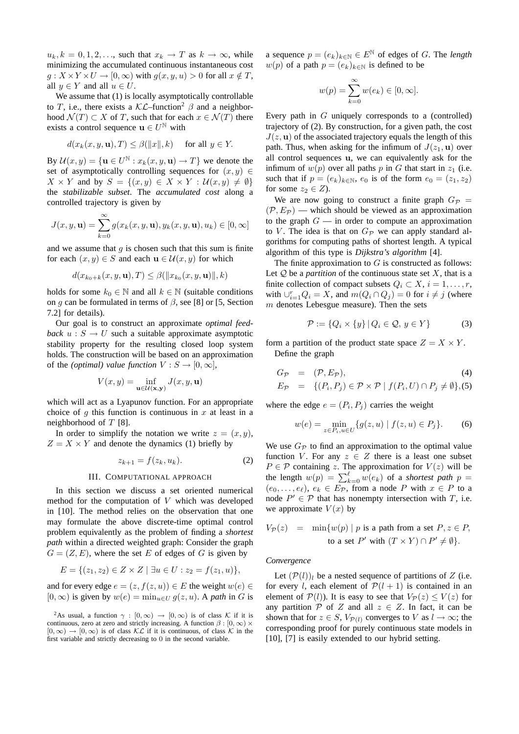$u_k, k = 0, 1, 2, \ldots$ , such that  $x_k \to T$  as  $k \to \infty$ , while minimizing the accumulated continuous instantaneous cost  $g: X \times Y \times U \to [0, \infty)$  with  $g(x, y, u) > 0$  for all  $x \notin T$ , all  $y \in Y$  and all  $u \in U$ .

We assume that  $(1)$  is locally asymptotically controllable to T, i.e., there exists a  $\mathcal{KL}$ –function<sup>2</sup>  $\beta$  and a neighborhood  $\mathcal{N}(T) \subset X$  of T, such that for each  $x \in \mathcal{N}(T)$  there exists a control sequence  $\mathbf{u} \in U^{\mathbb{N}}$  with

$$
d(x_k(x, y, \mathbf{u}), T) \le \beta(\|x\|, k) \quad \text{ for all } y \in Y.
$$

By  $\mathcal{U}(x, y) = {\mathbf{u} \in U^{\mathbb{N}} : x_k(x, y, \mathbf{u}) \to T}$  we denote the set of asymptotically controlling sequences for  $(x, y) \in$  $X \times Y$  and by  $S = \{(x, y) \in X \times Y : \mathcal{U}(x, y) \neq \emptyset\}$ the *stabilizable subset*. The *accumulated cost* along a controlled trajectory is given by

$$
J(x, y, \mathbf{u}) = \sum_{k=0}^{\infty} g(x_k(x, y, \mathbf{u}), y_k(x, y, \mathbf{u}), u_k) \in [0, \infty]
$$

and we assume that  $q$  is chosen such that this sum is finite for each  $(x, y) \in S$  and each  $\mathbf{u} \in \mathcal{U}(x, y)$  for which

$$
d(x_{k_0+k}(x,y,\mathbf{u}),T) \leq \beta(\|x_{k_0}(x,y,\mathbf{u})\|,k)
$$

holds for some  $k_0 \in \mathbb{N}$  and all  $k \in \mathbb{N}$  (suitable conditions on g can be formulated in terms of  $\beta$ , see [8] or [5, Section 7.2] for details).

Our goal is to construct an approximate *optimal feedback*  $u : S \to U$  such a suitable approximate asymptotic stability property for the resulting closed loop system holds. The construction will be based on an approximation of the *(optimal)* value function  $V : S \to [0, \infty]$ ,

$$
V(x,y)=\inf_{\mathbf{u}\in \mathcal{U}(\mathbf{x},\mathbf{y})}J(x,y,\mathbf{u})
$$

which will act as a Lyapunov function. For an appropriate choice of q this function is continuous in  $x$  at least in a neighborhood of  $T$  [8].

In order to simplify the notation we write  $z = (x, y)$ ,  $Z = X \times Y$  and denote the dynamics (1) briefly by

$$
z_{k+1} = f(z_k, u_k). \tag{2}
$$

### III. COMPUTATIONAL APPROACH

In this section we discuss a set oriented numerical method for the computation of V which was developed in [10]. The method relies on the observation that one may formulate the above discrete-time optimal control problem equivalently as the problem of finding a *shortest path* within a directed weighted graph: Consider the graph  $G = (Z, E)$ , where the set E of edges of G is given by

$$
E = \{(z_1, z_2) \in Z \times Z \mid \exists u \in U : z_2 = f(z_1, u)\},\
$$

and for every edge  $e = (z, f(z, u)) \in E$  the weight  $w(e) \in E$  $[0,\infty)$  is given by  $w(e) = \min_{u \in U} q(z, u)$ . A *path* in G is

<sup>2</sup>As usual, a function  $\gamma : [0, \infty) \to [0, \infty)$  is of class K if it is continuous, zero at zero and strictly increasing. A function  $\beta$  :  $[0, \infty) \times$  $[0,\infty) \to [0,\infty)$  is of class KL if it is continuous, of class K in the first variable and strictly decreasing to 0 in the second variable.

a sequence  $p = (e_k)_{k \in \mathbb{N}} \in E^{\mathbb{N}}$  of edges of G. The *length*  $w(p)$  of a path  $p = (e_k)_{k \in \mathbb{N}}$  is defined to be

$$
w(p) = \sum_{k=0}^{\infty} w(e_k) \in [0, \infty].
$$

Every path in G uniquely corresponds to a (controlled) trajectory of (2). By construction, for a given path, the cost  $J(z, \mathbf{u})$  of the associated trajectory equals the length of this path. Thus, when asking for the infimum of  $J(z_1, \mathbf{u})$  over all control sequences u, we can equivalently ask for the infimum of  $w(p)$  over all paths p in G that start in  $z_1$  (i.e. such that if  $p = (e_k)_{k \in \mathbb{N}}$ ,  $e_0$  is of the form  $e_0 = (z_1, z_2)$ for some  $z_2 \in Z$ ).

We are now going to construct a finite graph  $G_{\mathcal{P}} =$  $(\mathcal{P}, E_{\mathcal{P}})$  — which should be viewed as an approximation to the graph  $G$  — in order to compute an approximation to V. The idea is that on  $G_{\mathcal{P}}$  we can apply standard algorithms for computing paths of shortest length. A typical algorithm of this type is *Dijkstra's algorithm* [4].

The finite approximation to  $G$  is constructed as follows: Let  $Q$  be a *partition* of the continuous state set  $X$ , that is a finite collection of compact subsets  $Q_i \subset X$ ,  $i = 1, \ldots, r$ , with  $\bigcup_{i=1}^{r} Q_i = X$ , and  $m(Q_i \cap Q_j) = 0$  for  $i \neq j$  (where  $m$  denotes Lebesgue measure). Then the sets

$$
\mathcal{P} := \{Q_i \times \{y\} \mid Q_i \in \mathcal{Q}, y \in Y\} \tag{3}
$$

form a partition of the product state space  $Z = X \times Y$ . Define the graph

$$
G_{\mathcal{P}} = (\mathcal{P}, E_{\mathcal{P}}),
$$
  
\n
$$
E_{\mathcal{P}} = \{(P_i, P_j) \in \mathcal{P} \times \mathcal{P} \mid f(P_i, U) \cap P_j \neq \emptyset\}, (5)
$$

where the edge  $e = (P_i, P_j)$  carries the weight

$$
w(e) = \min_{z \in P_i, u \in U} \{ g(z, u) \mid f(z, u) \in P_j \}.
$$
 (6)

We use  $G_{\mathcal{P}}$  to find an approximation to the optimal value function V. For any  $z \in Z$  there is a least one subset  $P \in \mathcal{P}$  containing z. The approximation for  $V(z)$  will be the length  $w(p) = \sum_{k=0}^{l} w(e_k)$  of a *shortest path*  $p =$  $(e_0, \ldots, e_\ell), e_k \in E_{\mathcal{P}}$ , from a node P with  $x \in P$  to a node  $P' \in \mathcal{P}$  that has nonempty intersection with T, i.e. we approximate  $V(x)$  by

$$
V_{\mathcal{P}}(z) = \min \{ w(p) \mid p \text{ is a path from a set } P, z \in P, \text{ to a set } P' \text{ with } (T \times Y) \cap P' \neq \emptyset \}.
$$

# *Convergence*

Let  $(\mathcal{P}(l))_l$  be a nested sequence of partitions of Z (i.e. for every l, each element of  $\mathcal{P}(l + 1)$  is contained in an element of  $\mathcal{P}(l)$ ). It is easy to see that  $V_{\mathcal{P}}(z) \leq V(z)$  for any partition  $P$  of Z and all  $z \in Z$ . In fact, it can be shown that for  $z \in S$ ,  $V_{\mathcal{P}(l)}$  converges to V as  $l \to \infty$ ; the corresponding proof for purely continuous state models in [10], [7] is easily extended to our hybrid setting.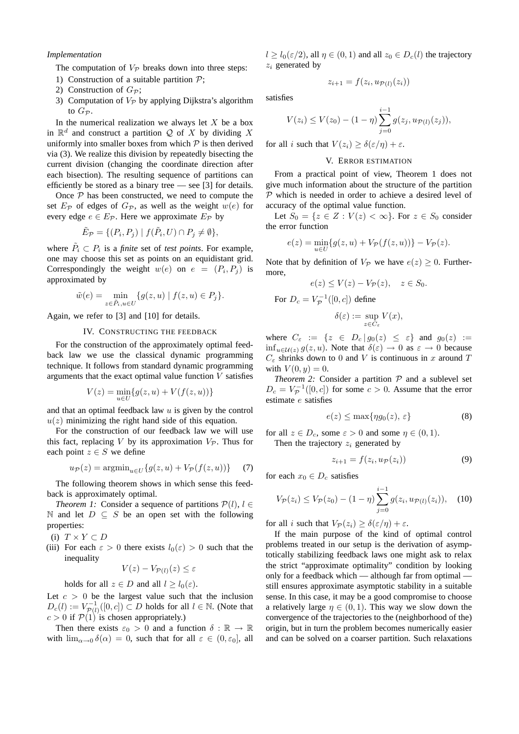# *Implementation*

The computation of  $V_P$  breaks down into three steps:

- 1) Construction of a suitable partition  $P$ ;
- 2) Construction of  $G_{\mathcal{P}}$ ;
- 3) Computation of  $V_P$  by applying Dijkstra's algorithm to  $G_{\mathcal{P}}$ .

In the numerical realization we always let  $X$  be a box in  $\mathbb{R}^d$  and construct a partition Q of X by dividing X uniformly into smaller boxes from which  $P$  is then derived via (3). We realize this division by repeatedly bisecting the current division (changing the coordinate direction after each bisection). The resulting sequence of partitions can efficiently be stored as a binary tree — see [3] for details.

Once  $P$  has been constructed, we need to compute the set  $E_{\mathcal{P}}$  of edges of  $G_{\mathcal{P}}$ , as well as the weight  $w(e)$  for every edge  $e \in E_{\mathcal{P}}$ . Here we approximate  $E_{\mathcal{P}}$  by

$$
\tilde{E}_{\mathcal{P}} = \{ (P_i, P_j) \mid f(\tilde{P}_i, U) \cap P_j \neq \emptyset \},\
$$

where  $\tilde{P}_i \subset P_i$  is a *finite* set of *test points*. For example, one may choose this set as points on an equidistant grid. Correspondingly the weight  $w(e)$  on  $e = (P_i, P_j)$  is approximated by

$$
\tilde{w}(e) = \min_{z \in \tilde{P}_i, u \in U} \{ g(z, u) \mid f(z, u) \in P_j \}.
$$

Again, we refer to [3] and [10] for details.

# IV. CONSTRUCTING THE FEEDBACK

For the construction of the approximately optimal feedback law we use the classical dynamic programming technique. It follows from standard dynamic programming arguments that the exact optimal value function  $V$  satisfies

$$
V(z) = \min_{u \in U} \{ g(z, u) + V(f(z, u)) \}
$$

and that an optimal feedback law  $u$  is given by the control  $u(z)$  minimizing the right hand side of this equation.

For the construction of our feedback law we will use this fact, replacing V by its approximation  $V_{\mathcal{P}}$ . Thus for each point  $z \in S$  we define

$$
u_{\mathcal{P}}(z) = \operatorname{argmin}_{u \in U} \{ g(z, u) + V_{\mathcal{P}}(f(z, u)) \} \tag{7}
$$

The following theorem shows in which sense this feedback is approximately optimal.

*Theorem 1:* Consider a sequence of partitions  $P(l)$ ,  $l \in$ N and let  $D \subseteq S$  be an open set with the following properties:

- (i)  $T \times Y \subset D$
- (iii) For each  $\varepsilon > 0$  there exists  $l_0(\varepsilon) > 0$  such that the inequality

$$
V(z) - V_{\mathcal{P}(l)}(z) \le \varepsilon
$$

holds for all  $z \in D$  and all  $l > l_0(\varepsilon)$ .

Let  $c > 0$  be the largest value such that the inclusion  $D_c(l) := V_{\mathcal{P}(l)}^{-1}([0, c]) \subset D$  holds for all  $l \in \mathbb{N}$ . (Note that  $c > 0$  if  $\mathcal{P}(1)$  is chosen appropriately.)

Then there exists  $\varepsilon_0 > 0$  and a function  $\delta : \mathbb{R} \to \mathbb{R}$ with  $\lim_{\alpha\to 0} \delta(\alpha) = 0$ , such that for all  $\varepsilon \in (0, \varepsilon_0]$ , all  $l \geq l_0(\varepsilon/2)$ , all  $\eta \in (0,1)$  and all  $z_0 \in D_c(l)$  the trajectory  $z_i$  generated by

$$
z_{i+1} = f(z_i, u_{\mathcal{P}(l)}(z_i))
$$

satisfies

$$
V(z_i) \le V(z_0) - (1 - \eta) \sum_{j=0}^{i-1} g(z_j, u_{\mathcal{P}(l)}(z_j)),
$$

for all i such that  $V(z_i) > \delta(\varepsilon/\eta) + \varepsilon$ .

# V. ERROR ESTIMATION

From a practical point of view, Theorem 1 does not give much information about the structure of the partition  $P$  which is needed in order to achieve a desired level of accuracy of the optimal value function.

Let  $S_0 = \{z \in Z : V(z) < \infty\}$ . For  $z \in S_0$  consider the error function

$$
e(z) = \min_{u \in U} \{ g(z, u) + V_{\mathcal{P}}(f(z, u)) \} - V_{\mathcal{P}}(z).
$$

Note that by definition of  $V_P$  we have  $e(z) > 0$ . Furthermore,

$$
e(z) \le V(z) - V_{\mathcal{P}}(z), \quad z \in S_0.
$$

For  $D_c = V_p^{-1}([0, c])$  define

$$
\delta(\varepsilon) := \sup_{z \in C_{\varepsilon}} V(x),
$$

where  $C_{\varepsilon} := \{ z \in D_c | g_0(z) \leq \varepsilon \}$  and  $g_0(z) :=$  $\inf_{u \in \mathcal{U}(z)} g(z, u)$ . Note that  $\delta(\varepsilon) \to 0$  as  $\varepsilon \to 0$  because  $C_{\varepsilon}$  shrinks down to 0 and V is continuous in x around T with  $V(0, u) = 0$ .

*Theorem 2:* Consider a partition  $P$  and a sublevel set  $D_c = V_P^{-1}([0, c])$  for some  $c > 0$ . Assume that the error estimate e satisfies

$$
e(z) \le \max\{\eta g_0(z), \, \varepsilon\} \tag{8}
$$

for all  $z \in D_c$ , some  $\varepsilon > 0$  and some  $\eta \in (0, 1)$ . Then the trajectory  $z_i$  generated by

$$
z_{i+1} = f(z_i, u_{\mathcal{P}}(z_i))
$$
\n(9)

for each  $x_0 \in D_c$  satisfies

$$
V_{\mathcal{P}}(z_i) \le V_{\mathcal{P}}(z_0) - (1 - \eta) \sum_{j=0}^{i-1} g(z_i, u_{\mathcal{P}(l)}(z_i)), \quad (10)
$$

for all i such that  $V_{\mathcal{P}}(z_i) \geq \delta(\varepsilon/\eta) + \varepsilon$ .

If the main purpose of the kind of optimal control problems treated in our setup is the derivation of asymptotically stabilizing feedback laws one might ask to relax the strict "approximate optimality" condition by looking only for a feedback which — although far from optimal still ensures approximate asymptotic stability in a suitable sense. In this case, it may be a good compromise to choose a relatively large  $\eta \in (0, 1)$ . This way we slow down the convergence of the trajectories to the (neighborhood of the) origin, but in turn the problem becomes numerically easier and can be solved on a coarser partition. Such relaxations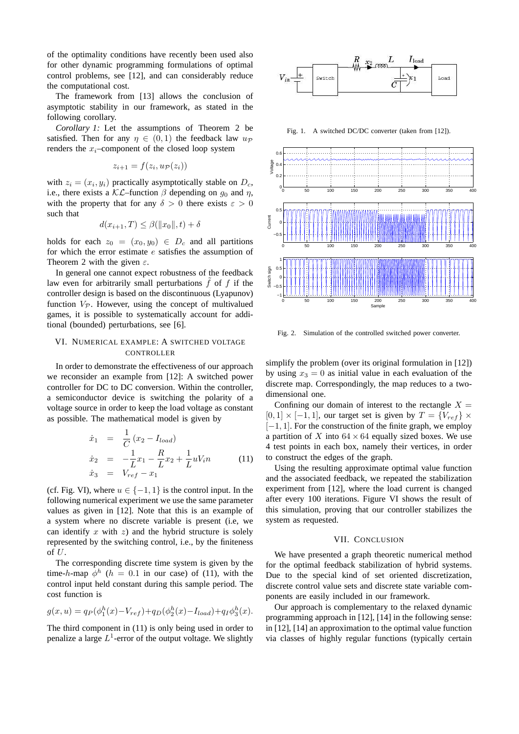of the optimality conditions have recently been used also for other dynamic programming formulations of optimal control problems, see [12], and can considerably reduce the computational cost.

The framework from [13] allows the conclusion of asymptotic stability in our framework, as stated in the following corollary.

*Corollary 1:* Let the assumptions of Theorem 2 be satisfied. Then for any  $\eta \in (0,1)$  the feedback law  $u_{\mathcal{P}}$ renders the  $x_i$ –component of the closed loop system

$$
z_{i+1} = f(z_i, u_{\mathcal{P}}(z_i))
$$

with  $z_i = (x_i, y_i)$  practically asymptotically stable on  $D_c$ , i.e., there exists a  $\mathcal{KL}$ –function  $\beta$  depending on  $g_0$  and  $\eta$ , with the property that for any  $\delta > 0$  there exists  $\varepsilon > 0$ such that

$$
d(x_{i+1},T) \leq \beta(||x_0||,t) + \delta
$$

holds for each  $z_0 = (x_0, y_0) \in D_c$  and all partitions for which the error estimate e satisfies the assumption of Theorem 2 with the given  $\varepsilon$ .

In general one cannot expect robustness of the feedback law even for arbitrarily small perturbations  $f$  of  $f$  if the controller design is based on the discontinuous (Lyapunov) function  $V_{\mathcal{P}}$ . However, using the concept of multivalued games, it is possible to systematically account for additional (bounded) perturbations, see [6].

# VI. NUMERICAL EXAMPLE: A SWITCHED VOLTAGE **CONTROLLER**

In order to demonstrate the effectiveness of our approach we reconsider an example from [12]: A switched power controller for DC to DC conversion. Within the controller, a semiconductor device is switching the polarity of a voltage source in order to keep the load voltage as constant as possible. The mathematical model is given by

$$
\dot{x}_1 = \frac{1}{C} (x_2 - I_{load})
$$
\n
$$
\dot{x}_2 = -\frac{1}{L} x_1 - \frac{R}{L} x_2 + \frac{1}{L} u V_i n \qquad (11)
$$
\n
$$
\dot{x}_3 = V_{ref} - x_1
$$

(cf. Fig. VI), where  $u \in \{-1, 1\}$  is the control input. In the following numerical experiment we use the same parameter values as given in [12]. Note that this is an example of a system where no discrete variable is present (i.e, we can identify  $x$  with  $z$ ) and the hybrid structure is solely represented by the switching control, i.e., by the finiteness of U.

The corresponding discrete time system is given by the time-h-map  $\phi^h$  (h = 0.1 in our case) of (11), with the control input held constant during this sample period. The cost function is

$$
g(x, u) = q_P(\phi_1^h(x) - V_{ref}) + q_D(\phi_2^h(x) - I_{load}) + q_I \phi_3^h(x).
$$

The third component in (11) is only being used in order to penalize a large  $L^1$ -error of the output voltage. We slightly



Fig. 1. A switched DC/DC converter (taken from [12]).



Fig. 2. Simulation of the controlled switched power converter.

simplify the problem (over its original formulation in [12]) by using  $x_3 = 0$  as initial value in each evaluation of the discrete map. Correspondingly, the map reduces to a twodimensional one.

Confining our domain of interest to the rectangle  $X =$  $[0, 1] \times [-1, 1]$ , our target set is given by  $T = \{V_{ref}\} \times$  $[-1, 1]$ . For the construction of the finite graph, we employ a partition of X into  $64 \times 64$  equally sized boxes. We use 4 test points in each box, namely their vertices, in order to construct the edges of the graph.

Using the resulting approximate optimal value function and the associated feedback, we repeated the stabilization experiment from [12], where the load current is changed after every 100 iterations. Figure VI shows the result of this simulation, proving that our controller stabilizes the system as requested.

### VII. CONCLUSION

We have presented a graph theoretic numerical method for the optimal feedback stabilization of hybrid systems. Due to the special kind of set oriented discretization, discrete control value sets and discrete state variable components are easily included in our framework.

Our approach is complementary to the relaxed dynamic programming approach in [12], [14] in the following sense: in [12], [14] an approximation to the optimal value function via classes of highly regular functions (typically certain